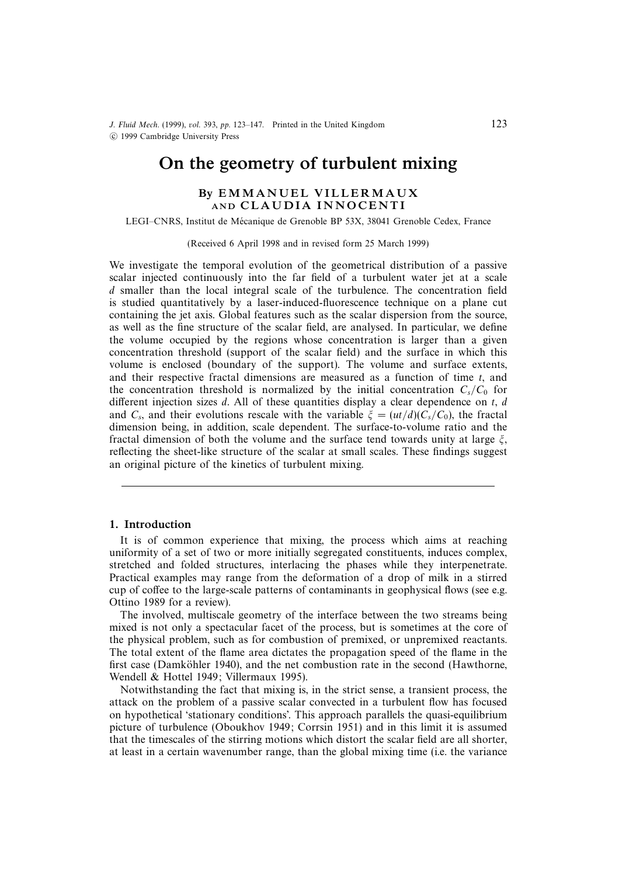J. Fluid Mech. (1999), vol. 393, pp. 123–147. Printed in the United Kingdom c 1999 Cambridge University Press

# On the geometry of turbulent mixing

# BY EMMANUEL VILLERMAUX AND CLAUDIA INNOCENTI

LEGI–CNRS, Institut de Mecanique de Grenoble BP 53X, 38041 Grenoble Cedex, France ´

(Received 6 April 1998 and in revised form 25 March 1999)

We investigate the temporal evolution of the geometrical distribution of a passive scalar injected continuously into the far field of a turbulent water jet at a scale d smaller than the local integral scale of the turbulence. The concentration field is studied quantitatively by a laser-induced-fluorescence technique on a plane cut containing the jet axis. Global features such as the scalar dispersion from the source, as well as the fine structure of the scalar field, are analysed. In particular, we define the volume occupied by the regions whose concentration is larger than a given concentration threshold (support of the scalar field) and the surface in which this volume is enclosed (boundary of the support). The volume and surface extents, and their respective fractal dimensions are measured as a function of time  $t$ , and the concentration threshold is normalized by the initial concentration  $C_s/C_0$  for different injection sizes  $d$ . All of these quantities display a clear dependence on  $t$ ,  $d$ and  $C_s$ , and their evolutions rescale with the variable  $\xi = (ut/d)(C_s/C_0)$ , the fractal dimension being, in addition, scale dependent. The surface-to-volume ratio and the fractal dimension of both the volume and the surface tend towards unity at large  $\xi$ , reflecting the sheet-like structure of the scalar at small scales. These findings suggest an original picture of the kinetics of turbulent mixing.

## 1. Introduction

It is of common experience that mixing, the process which aims at reaching uniformity of a set of two or more initially segregated constituents, induces complex, stretched and folded structures, interlacing the phases while they interpenetrate. Practical examples may range from the deformation of a drop of milk in a stirred cup of coffee to the large-scale patterns of contaminants in geophysical flows (see e.g. Ottino 1989 for a review).

The involved, multiscale geometry of the interface between the two streams being mixed is not only a spectacular facet of the process, but is sometimes at the core of the physical problem, such as for combustion of premixed, or unpremixed reactants. The total extent of the flame area dictates the propagation speed of the flame in the first case (Damköhler 1940), and the net combustion rate in the second (Hawthorne, Wendell & Hottel 1949; Villermaux 1995).

Notwithstanding the fact that mixing is, in the strict sense, a transient process, the attack on the problem of a passive scalar convected in a turbulent flow has focused on hypothetical 'stationary conditions'. This approach parallels the quasi-equilibrium picture of turbulence (Oboukhov 1949; Corrsin 1951) and in this limit it is assumed that the timescales of the stirring motions which distort the scalar field are all shorter, at least in a certain wavenumber range, than the global mixing time (i.e. the variance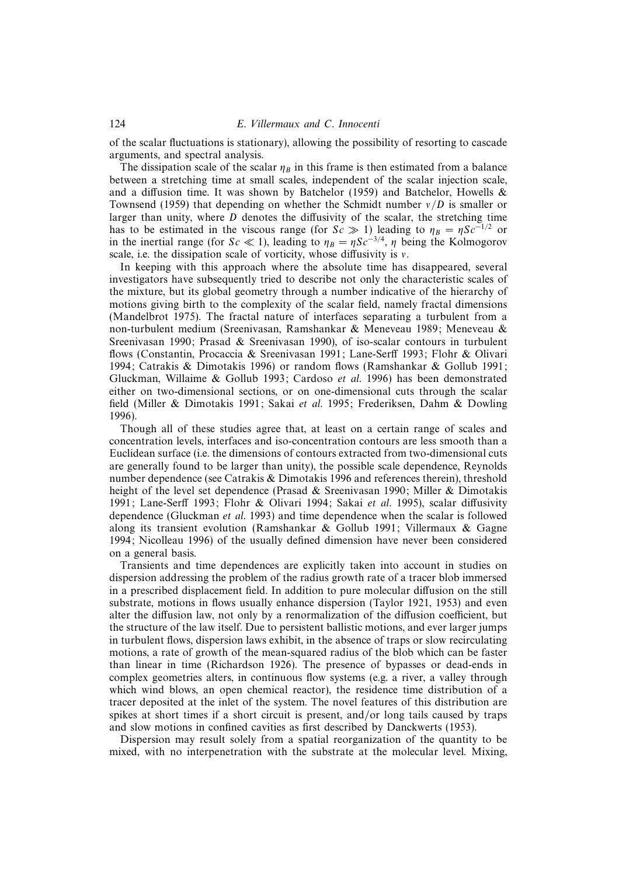of the scalar fluctuations is stationary), allowing the possibility of resorting to cascade arguments, and spectral analysis.

The dissipation scale of the scalar  $\eta_B$  in this frame is then estimated from a balance between a stretching time at small scales, independent of the scalar injection scale, and a diffusion time. It was shown by Batchelor (1959) and Batchelor, Howells  $\&$ Townsend (1959) that depending on whether the Schmidt number  $v/D$  is smaller or larger than unity, where  $D$  denotes the diffusivity of the scalar, the stretching time has to be estimated in the viscous range (for  $Sc \gg 1$ ) leading to  $\eta_B = \eta Sc^{-1/2}$  or in the inertial range (for Sc  $\ll$  1), leading to  $\eta_B = \eta Sc^{-3/4}$ ,  $\eta$  being the Kolmogorov scale, i.e. the dissipation scale of vorticity, whose diffusivity is ν.

In keeping with this approach where the absolute time has disappeared, several investigators have subsequently tried to describe not only the characteristic scales of the mixture, but its global geometry through a number indicative of the hierarchy of motions giving birth to the complexity of the scalar field, namely fractal dimensions (Mandelbrot 1975). The fractal nature of interfaces separating a turbulent from a non-turbulent medium (Sreenivasan, Ramshankar & Meneveau 1989; Meneveau & Sreenivasan 1990; Prasad & Sreenivasan 1990), of iso-scalar contours in turbulent flows (Constantin, Procaccia & Sreenivasan 1991; Lane-Serff 1993; Flohr & Olivari 1994; Catrakis & Dimotakis 1996) or random flows (Ramshankar & Gollub 1991; Gluckman, Willaime & Gollub 1993; Cardoso et al. 1996) has been demonstrated either on two-dimensional sections, or on one-dimensional cuts through the scalar field (Miller & Dimotakis 1991; Sakai et al. 1995; Frederiksen, Dahm & Dowling 1996).

Though all of these studies agree that, at least on a certain range of scales and concentration levels, interfaces and iso-concentration contours are less smooth than a Euclidean surface (i.e. the dimensions of contours extracted from two-dimensional cuts are generally found to be larger than unity), the possible scale dependence, Reynolds number dependence (see Catrakis & Dimotakis 1996 and references therein), threshold height of the level set dependence (Prasad & Sreenivasan 1990; Miller & Dimotakis 1991; Lane-Serff 1993; Flohr & Olivari 1994; Sakai et al. 1995), scalar diffusivity dependence (Gluckman et al. 1993) and time dependence when the scalar is followed along its transient evolution (Ramshankar & Gollub 1991; Villermaux & Gagne 1994; Nicolleau 1996) of the usually defined dimension have never been considered on a general basis.

Transients and time dependences are explicitly taken into account in studies on dispersion addressing the problem of the radius growth rate of a tracer blob immersed in a prescribed displacement field. In addition to pure molecular diffusion on the still substrate, motions in flows usually enhance dispersion (Taylor 1921, 1953) and even alter the diffusion law, not only by a renormalization of the diffusion coefficient, but the structure of the law itself. Due to persistent ballistic motions, and ever larger jumps in turbulent flows, dispersion laws exhibit, in the absence of traps or slow recirculating motions, a rate of growth of the mean-squared radius of the blob which can be faster than linear in time (Richardson 1926). The presence of bypasses or dead-ends in complex geometries alters, in continuous flow systems (e.g. a river, a valley through which wind blows, an open chemical reactor), the residence time distribution of a tracer deposited at the inlet of the system. The novel features of this distribution are spikes at short times if a short circuit is present, and/or long tails caused by traps and slow motions in confined cavities as first described by Danckwerts (1953).

Dispersion may result solely from a spatial reorganization of the quantity to be mixed, with no interpenetration with the substrate at the molecular level. Mixing,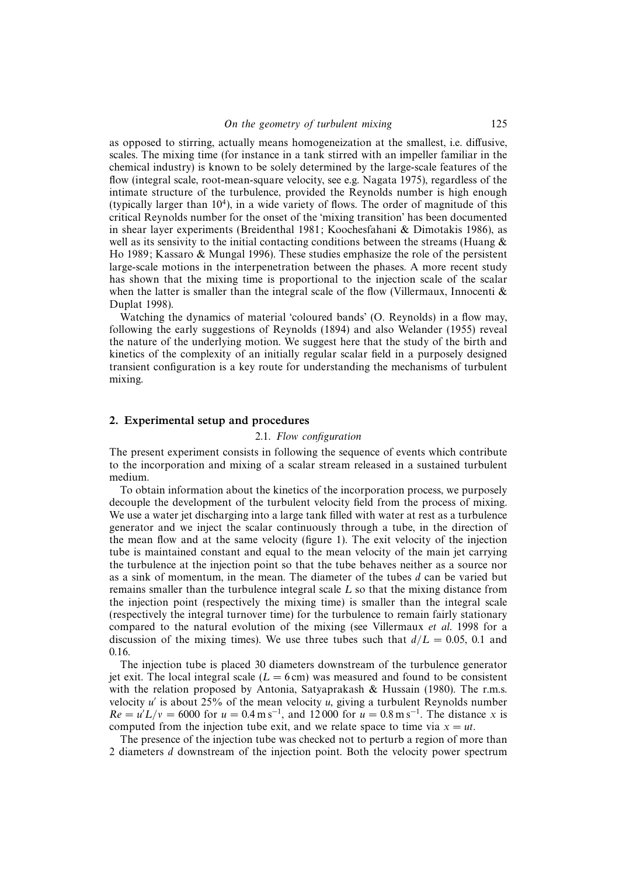as opposed to stirring, actually means homogeneization at the smallest, i.e. diffusive, scales. The mixing time (for instance in a tank stirred with an impeller familiar in the chemical industry) is known to be solely determined by the large-scale features of the flow (integral scale, root-mean-square velocity, see e.g. Nagata 1975), regardless of the intimate structure of the turbulence, provided the Reynolds number is high enough (typically larger than  $10<sup>4</sup>$ ), in a wide variety of flows. The order of magnitude of this critical Reynolds number for the onset of the 'mixing transition' has been documented in shear layer experiments (Breidenthal 1981; Koochesfahani & Dimotakis 1986), as well as its sensivity to the initial contacting conditions between the streams (Huang  $\&$ Ho 1989; Kassaro & Mungal 1996). These studies emphasize the role of the persistent large-scale motions in the interpenetration between the phases. A more recent study has shown that the mixing time is proportional to the injection scale of the scalar when the latter is smaller than the integral scale of the flow (Villermaux, Innocenti  $\&$ Duplat 1998).

Watching the dynamics of material 'coloured bands' (O. Reynolds) in a flow may, following the early suggestions of Reynolds (1894) and also Welander (1955) reveal the nature of the underlying motion. We suggest here that the study of the birth and kinetics of the complexity of an initially regular scalar field in a purposely designed transient configuration is a key route for understanding the mechanisms of turbulent mixing.

## 2. Experimental setup and procedures

## 2.1. Flow configuration

The present experiment consists in following the sequence of events which contribute to the incorporation and mixing of a scalar stream released in a sustained turbulent medium.

To obtain information about the kinetics of the incorporation process, we purposely decouple the development of the turbulent velocity field from the process of mixing. We use a water jet discharging into a large tank filled with water at rest as a turbulence generator and we inject the scalar continuously through a tube, in the direction of the mean flow and at the same velocity (figure 1). The exit velocity of the injection tube is maintained constant and equal to the mean velocity of the main jet carrying the turbulence at the injection point so that the tube behaves neither as a source nor as a sink of momentum, in the mean. The diameter of the tubes d can be varied but remains smaller than the turbulence integral scale L so that the mixing distance from the injection point (respectively the mixing time) is smaller than the integral scale (respectively the integral turnover time) for the turbulence to remain fairly stationary compared to the natural evolution of the mixing (see Villermaux et al. 1998 for a discussion of the mixing times). We use three tubes such that  $d/L = 0.05$ , 0.1 and 0.16.

The injection tube is placed 30 diameters downstream of the turbulence generator jet exit. The local integral scale ( $L = 6$  cm) was measured and found to be consistent with the relation proposed by Antonia, Satyaprakash & Hussain (1980). The r.m.s. velocity  $u'$  is about 25% of the mean velocity u, giving a turbulent Reynolds number  $Re = u'L/v = 6000$  for  $u = 0.4$  m s<sup>-1</sup>, and 12000 for  $u = 0.8$  m s<sup>-1</sup>. The distance x is computed from the injection tube exit, and we relate space to time via  $x = ut$ .

The presence of the injection tube was checked not to perturb a region of more than 2 diameters d downstream of the injection point. Both the velocity power spectrum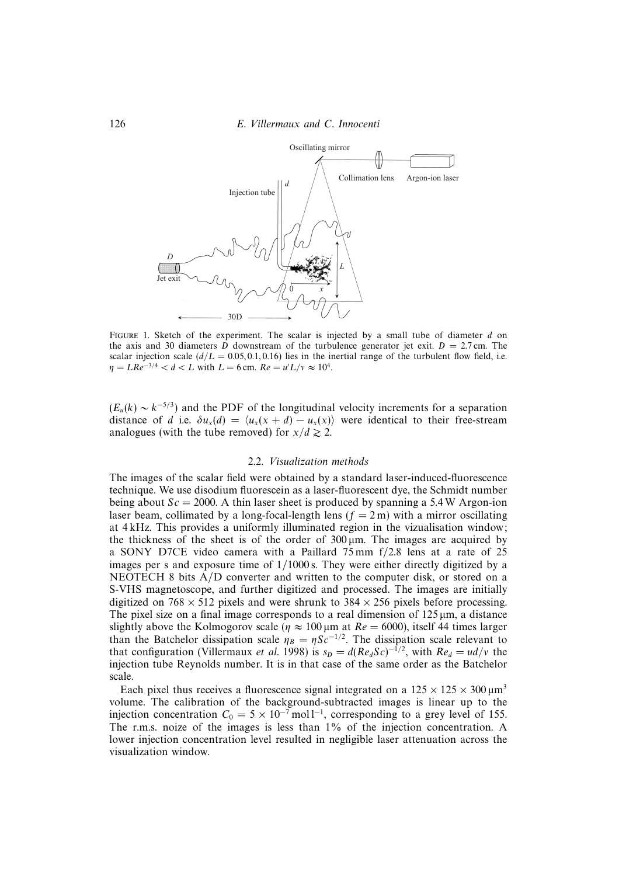

FIGURE 1. Sketch of the experiment. The scalar is injected by a small tube of diameter  $d$  on the axis and 30 diameters D downstream of the turbulence generator jet exit.  $D = 2.7$  cm. The scalar injection scale  $(d/L = 0.05, 0.1, 0.16)$  lies in the inertial range of the turbulent flow field, i.e.  $\eta = LRe^{-3/4} < d < L$  with  $L = 6$  cm.  $Re = u'L/v \approx 10^4$ .

 $(E_u(k) \sim k^{-5/3})$  and the PDF of the longitudinal velocity increments for a separation distance of d i.e.  $\delta u_x(d) = \langle u_x(x + d) - u_x(x) \rangle$  were identical to their free-stream analogues (with the tube removed) for  $x/d \ge 2$ .

#### 2.2. Visualization methods

The images of the scalar field were obtained by a standard laser-induced-fluorescence technique. We use disodium fluorescein as a laser-fluorescent dye, the Schmidt number being about  $Sc = 2000$ . A thin laser sheet is produced by spanning a 5.4 W Argon-ion laser beam, collimated by a long-focal-length lens  $(f = 2m)$  with a mirror oscillating at 4 kHz. This provides a uniformly illuminated region in the vizualisation window; the thickness of the sheet is of the order of  $300 \mu m$ . The images are acquired by a SONY D7CE video camera with a Paillard 75 mm f/2.8 lens at a rate of 25 images per s and exposure time of 1/1000 s. They were either directly digitized by a NEOTECH 8 bits A/D converter and written to the computer disk, or stored on a S-VHS magnetoscope, and further digitized and processed. The images are initially digitized on  $768 \times 512$  pixels and were shrunk to  $384 \times 256$  pixels before processing. The pixel size on a final image corresponds to a real dimension of  $125 \mu m$ , a distance slightly above the Kolmogorov scale ( $\eta \approx 100 \,\mu$ m at  $Re = 6000$ ), itself 44 times larger than the Batchelor dissipation scale  $\eta_B = \eta S c^{-1/2}$ . The dissipation scale relevant to that configuration (Villermaux *et al.* 1998) is  $s_D = d(Re_d Sc)^{-1/2}$ , with  $Re_d = ud/v$  the injection tube Reynolds number. It is in that case of the same order as the Batchelor scale.

Each pixel thus receives a fluorescence signal integrated on a  $125 \times 125 \times 300 \,\text{\textmu m}^3$ volume. The calibration of the background-subtracted images is linear up to the injection concentration  $C_0 = 5 \times 10^{-7}$  mol l<sup>-1</sup>, corresponding to a grey level of 155. The r.m.s. noize of the images is less than 1% of the injection concentration. A lower injection concentration level resulted in negligible laser attenuation across the visualization window.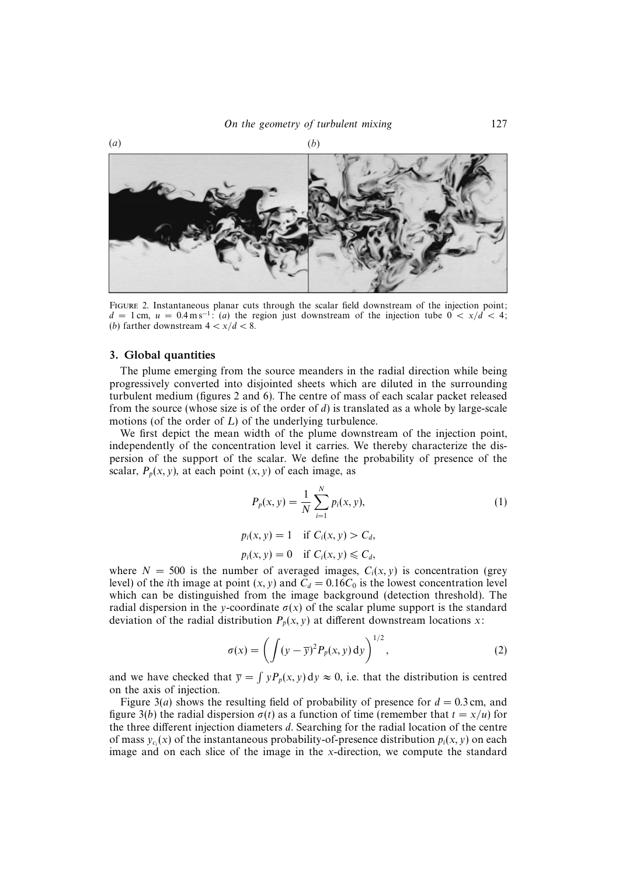

FIGURE 2. Instantaneous planar cuts through the scalar field downstream of the injection point:  $d = 1$  cm,  $u = 0.4$  m s<sup>-1</sup>: (a) the region just downstream of the injection tube  $0 < x/d < 4$ ; (*b*) farther downstream  $4 < x/d < 8$ .

## 3. Global quantities

The plume emerging from the source meanders in the radial direction while being progressively converted into disjointed sheets which are diluted in the surrounding turbulent medium (figures 2 and 6). The centre of mass of each scalar packet released from the source (whose size is of the order of  $d$ ) is translated as a whole by large-scale motions (of the order of L) of the underlying turbulence.

We first depict the mean width of the plume downstream of the injection point, independently of the concentration level it carries. We thereby characterize the dispersion of the support of the scalar. We define the probability of presence of the scalar,  $P_p(x, y)$ , at each point  $(x, y)$  of each image, as

$$
P_p(x, y) = \frac{1}{N} \sum_{i=1}^{N} p_i(x, y),
$$
  
\n
$$
p_i(x, y) = 1 \text{ if } C_i(x, y) > C_d,
$$
  
\n
$$
p_i(x, y) = 0 \text{ if } C_i(x, y) \le C_d,
$$
\n(1)

where  $N = 500$  is the number of averaged images,  $C<sub>i</sub>(x, y)$  is concentration (grey level) of the *i*th image at point  $(x, y)$  and  $C_d = 0.16C_0$  is the lowest concentration level which can be distinguished from the image background (detection threshold). The radial dispersion in the y-coordinate  $\sigma(x)$  of the scalar plume support is the standard deviation of the radial distribution  $P_p(x, y)$  at different downstream locations x:

$$
\sigma(x) = \left(\int (y - \overline{y})^2 P_p(x, y) \, dy\right)^{1/2},\tag{2}
$$

and we have checked that  $\overline{y} = \int yP_p(x, y) dy \approx 0$ , i.e. that the distribution is centred on the axis of injection.

Figure 3(*a*) shows the resulting field of probability of presence for  $d = 0.3$  cm, and figure 3(b) the radial dispersion  $\sigma(t)$  as a function of time (remember that  $t = x/u$ ) for the three different injection diameters d. Searching for the radial location of the centre of mass  $y_{c_i}(x)$  of the instantaneous probability-of-presence distribution  $p_i(x, y)$  on each image and on each slice of the image in the x-direction, we compute the standard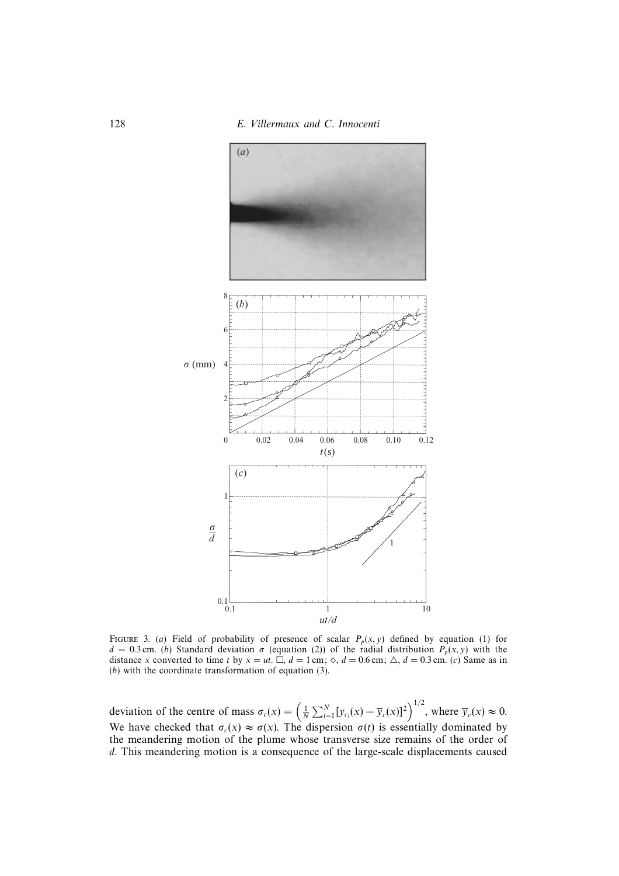

FIGURE 3. (a) Field of probability of presence of scalar  $P_p(x, y)$  defined by equation (1) for  $d = 0.3$  cm. (b) Standard deviation  $\sigma$  (equation (2)) of the radial distribution  $P_p(x, y)$  with the distance x converted to time t by  $x = ut$ .  $\Box$ ,  $d = 1$  cm;  $\Diamond$ ,  $d = 0.6$  cm;  $\triangle$ ,  $d = 0.3$  cm. (c) Same as in (b) with the coordinate transformation of equation (3).

deviation of the centre of mass  $\sigma_c(x) = \left(\frac{1}{N} \sum_{i=1}^N [y_{c_i}(x) - \overline{y}_c(x)]^2\right)^{1/2}$ , where  $\overline{y}_c(x) \approx 0$ . We have checked that  $\sigma_c(x) \approx \sigma(x)$ . The dispersion  $\sigma(t)$  is essentially dominated by the meandering motion of the plume whose transverse size remains of the order of d. This meandering motion is a consequence of the large-scale displacements caused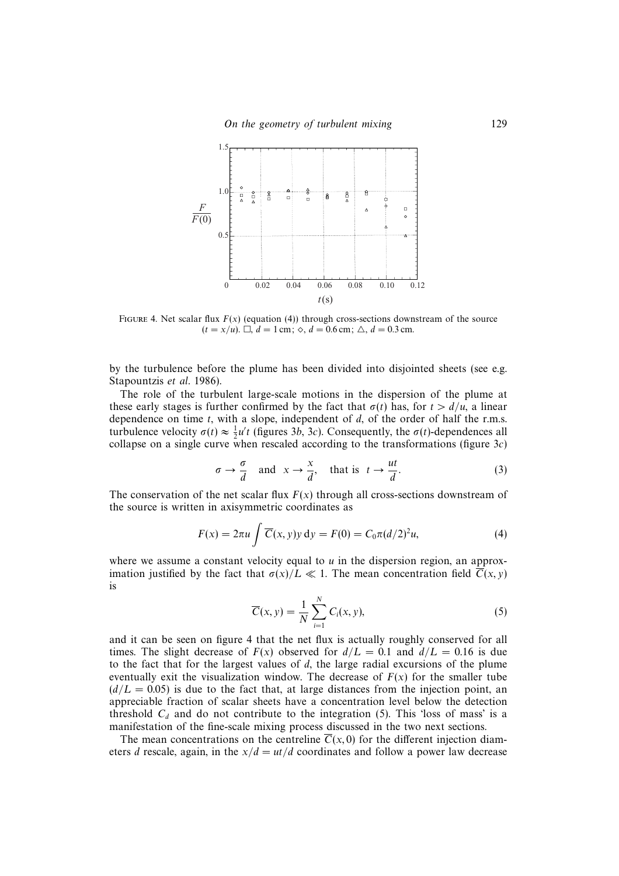On the geometry of turbulent mixing 129



FIGURE 4. Net scalar flux  $F(x)$  (equation (4)) through cross-sections downstream of the source  $(t = x/u)$ .  $\Box$ ,  $d = 1$  cm;  $\diamond$ ,  $d = 0.6$  cm;  $\triangle$ ,  $d = 0.3$  cm.

by the turbulence before the plume has been divided into disjointed sheets (see e.g. Stapountzis et al. 1986).

The role of the turbulent large-scale motions in the dispersion of the plume at these early stages is further confirmed by the fact that  $\sigma(t)$  has, for  $t > d/u$ , a linear dependence on time  $t$ , with a slope, independent of  $d$ , of the order of half the r.m.s. turbulence velocity  $\sigma(t) \approx \frac{1}{2}u't$  (figures 3b, 3c). Consequently, the  $\sigma(t)$ -dependences all collapse on a single curve when rescaled according to the transformations (figure  $3c$ )

$$
\sigma \to \frac{\sigma}{d} \quad \text{and} \quad x \to \frac{x}{d}, \quad \text{that is} \quad t \to \frac{ut}{d}.\tag{3}
$$

The conservation of the net scalar flux  $F(x)$  through all cross-sections downstream of the source is written in axisymmetric coordinates as

$$
F(x) = 2\pi u \int \overline{C}(x, y)y \, dy = F(0) = C_0 \pi (d/2)^2 u,
$$
 (4)

where we assume a constant velocity equal to  $u$  in the dispersion region, an approximation justified by the fact that  $\sigma(x)/L \ll 1$ . The mean concentration field  $\overline{C}(x, y)$ is

$$
\overline{C}(x, y) = \frac{1}{N} \sum_{i=1}^{N} C_i(x, y),
$$
\n(5)

and it can be seen on figure 4 that the net flux is actually roughly conserved for all times. The slight decrease of  $F(x)$  observed for  $d/L = 0.1$  and  $d/L = 0.16$  is due to the fact that for the largest values of  $d$ , the large radial excursions of the plume eventually exit the visualization window. The decrease of  $F(x)$  for the smaller tube  $(d/L = 0.05)$  is due to the fact that, at large distances from the injection point, an appreciable fraction of scalar sheets have a concentration level below the detection threshold  $C_d$  and do not contribute to the integration (5). This 'loss of mass' is a manifestation of the fine-scale mixing process discussed in the two next sections.

The mean concentrations on the centreline  $\overline{C}(x, 0)$  for the different injection diameters d rescale, again, in the  $x/d = ut/d$  coordinates and follow a power law decrease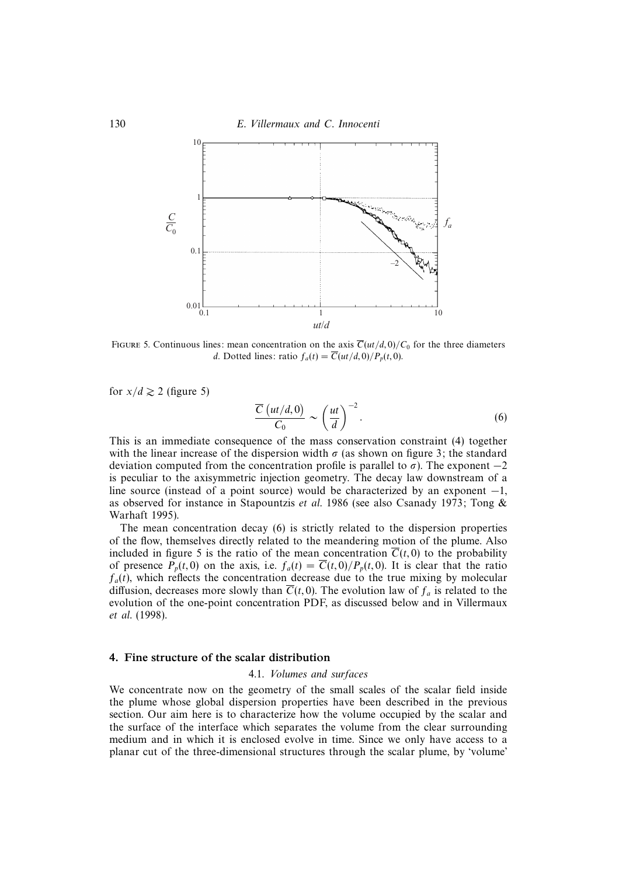

FIGURE 5. Continuous lines: mean concentration on the axis  $\overline{C}(ut/d, 0)/C_0$  for the three diameters d. Dotted lines: ratio  $f_a(t) = \overline{C}(ut/d, 0)/P_p(t, 0)$ .

for  $x/d \ge 2$  (figure 5)

$$
\frac{\overline{C}\left(ut/d,0\right)}{C_0} \sim \left(\frac{ut}{d}\right)^{-2}.\tag{6}
$$

This is an immediate consequence of the mass conservation constraint (4) together with the linear increase of the dispersion width  $\sigma$  (as shown on figure 3; the standard deviation computed from the concentration profile is parallel to  $\sigma$ ). The exponent  $-2$ is peculiar to the axisymmetric injection geometry. The decay law downstream of a line source (instead of a point source) would be characterized by an exponent  $-1$ , as observed for instance in Stapountzis et al. 1986 (see also Csanady 1973; Tong & Warhaft 1995).

The mean concentration decay (6) is strictly related to the dispersion properties of the flow, themselves directly related to the meandering motion of the plume. Also included in figure 5 is the ratio of the mean concentration  $\overline{C}(t, 0)$  to the probability of presence  $P_p(t,0)$  on the axis, i.e.  $f_a(t) = \overline{C}(t,0)/P_p(t,0)$ . It is clear that the ratio  $f_a(t)$ , which reflects the concentration decrease due to the true mixing by molecular diffusion, decreases more slowly than  $\overline{C}(t, 0)$ . The evolution law of  $f_a$  is related to the evolution of the one-point concentration PDF, as discussed below and in Villermaux et al. (1998).

## 4. Fine structure of the scalar distribution

#### 4.1. Volumes and surfaces

We concentrate now on the geometry of the small scales of the scalar field inside the plume whose global dispersion properties have been described in the previous section. Our aim here is to characterize how the volume occupied by the scalar and the surface of the interface which separates the volume from the clear surrounding medium and in which it is enclosed evolve in time. Since we only have access to a planar cut of the three-dimensional structures through the scalar plume, by 'volume'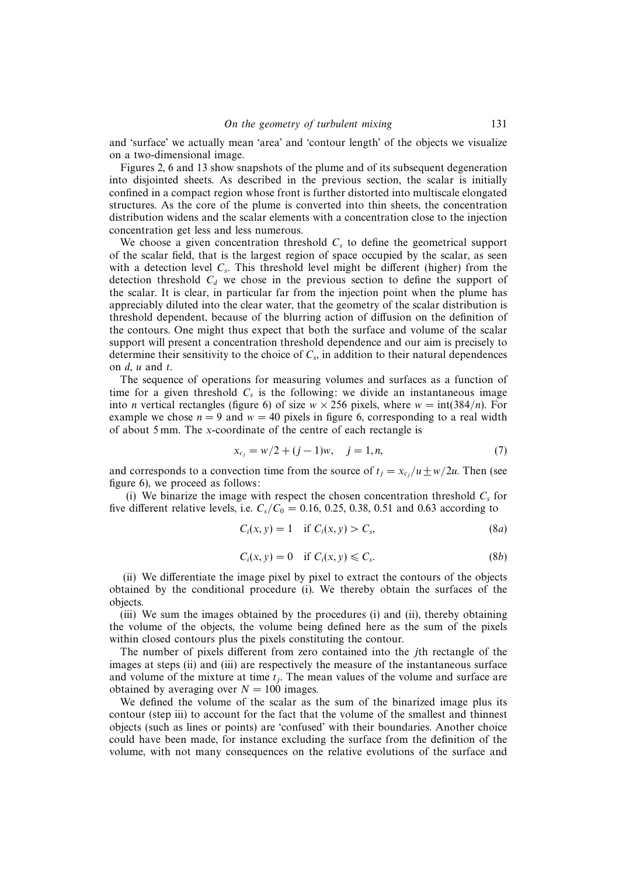and 'surface' we actually mean 'area' and 'contour length' of the objects we visualize on a two-dimensional image.

Figures 2, 6 and 13 show snapshots of the plume and of its subsequent degeneration into disjointed sheets. As described in the previous section, the scalar is initially confined in a compact region whose front is further distorted into multiscale elongated structures. As the core of the plume is converted into thin sheets, the concentration distribution widens and the scalar elements with a concentration close to the injection concentration get less and less numerous.

We choose a given concentration threshold  $C_s$  to define the geometrical support of the scalar field, that is the largest region of space occupied by the scalar, as seen with a detection level  $C_s$ . This threshold level might be different (higher) from the detection threshold  $C_d$  we chose in the previous section to define the support of the scalar. It is clear, in particular far from the injection point when the plume has appreciably diluted into the clear water, that the geometry of the scalar distribution is threshold dependent, because of the blurring action of diffusion on the definition of the contours. One might thus expect that both the surface and volume of the scalar support will present a concentration threshold dependence and our aim is precisely to determine their sensitivity to the choice of  $C_s$ , in addition to their natural dependences on  $d$ ,  $u$  and  $t$ .

The sequence of operations for measuring volumes and surfaces as a function of time for a given threshold  $C_s$  is the following: we divide an instantaneous image into *n* vertical rectangles (figure 6) of size  $w \times 256$  pixels, where  $w = \text{int}(384/n)$ . For example we chose  $n = 9$  and  $w = 40$  pixels in figure 6, corresponding to a real width of about 5 mm. The x-coordinate of the centre of each rectangle is

$$
x_{c_j} = w/2 + (j - 1)w, \quad j = 1, n,
$$
\n(7)

and corresponds to a convection time from the source of  $t_j = x_{c_j}/u \pm w/2u$ . Then (see figure 6), we proceed as follows:

(i) We binarize the image with respect the chosen concentration threshold  $C_s$  for five different relative levels, i.e.  $C_s/C_0 = 0.16, 0.25, 0.38, 0.51$  and 0.63 according to

$$
C_i(x, y) = 1 \quad \text{if } C_i(x, y) > C_s,\tag{8a}
$$

$$
C_i(x, y) = 0 \quad \text{if } C_i(x, y) \leq C_s. \tag{8b}
$$

(ii) We differentiate the image pixel by pixel to extract the contours of the objects obtained by the conditional procedure (i). We thereby obtain the surfaces of the objects.

(iii) We sum the images obtained by the procedures (i) and (ii), thereby obtaining the volume of the objects, the volume being defined here as the sum of the pixels within closed contours plus the pixels constituting the contour.

The number of pixels different from zero contained into the jth rectangle of the images at steps (ii) and (iii) are respectively the measure of the instantaneous surface and volume of the mixture at time  $t_j$ . The mean values of the volume and surface are obtained by averaging over  $N = 100$  images.

We defined the volume of the scalar as the sum of the binarized image plus its contour (step iii) to account for the fact that the volume of the smallest and thinnest objects (such as lines or points) are 'confused' with their boundaries. Another choice could have been made, for instance excluding the surface from the definition of the volume, with not many consequences on the relative evolutions of the surface and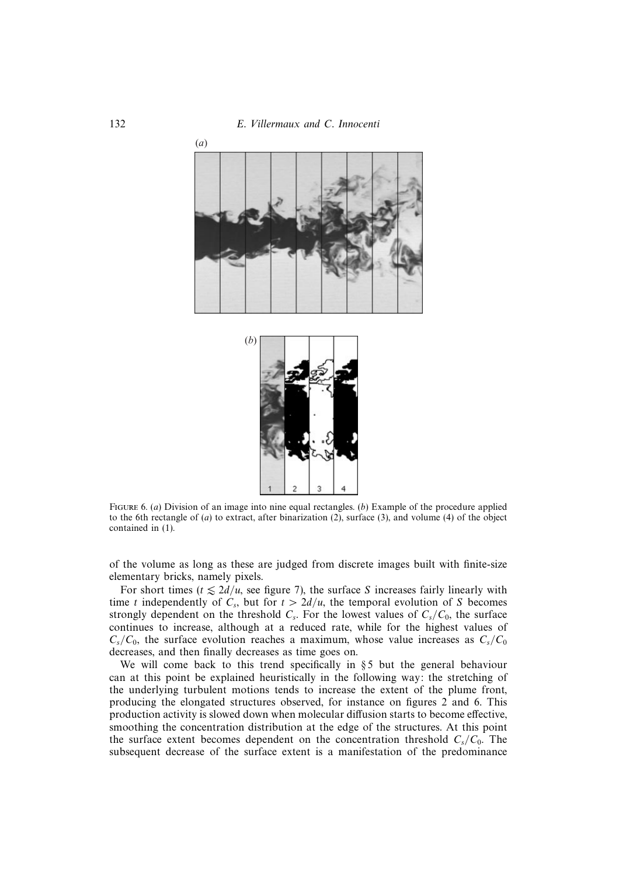



FIGURE 6. (a) Division of an image into nine equal rectangles. (b) Example of the procedure applied to the 6th rectangle of (a) to extract, after binarization (2), surface (3), and volume (4) of the object contained in (1).

of the volume as long as these are judged from discrete images built with finite-size elementary bricks, namely pixels.

For short times ( $t \le 2d/u$ , see figure 7), the surface S increases fairly linearly with time t independently of  $C_s$ , but for  $t > 2d/u$ , the temporal evolution of S becomes strongly dependent on the threshold  $C_s$ . For the lowest values of  $C_s/C_0$ , the surface continues to increase, although at a reduced rate, while for the highest values of  $C_s/C_0$ , the surface evolution reaches a maximum, whose value increases as  $C_s/C_0$ decreases, and then finally decreases as time goes on.

We will come back to this trend specifically in §5 but the general behaviour can at this point be explained heuristically in the following way: the stretching of the underlying turbulent motions tends to increase the extent of the plume front, producing the elongated structures observed, for instance on figures 2 and 6. This production activity is slowed down when molecular diffusion starts to become effective, smoothing the concentration distribution at the edge of the structures. At this point the surface extent becomes dependent on the concentration threshold  $C_s/C_0$ . The subsequent decrease of the surface extent is a manifestation of the predominance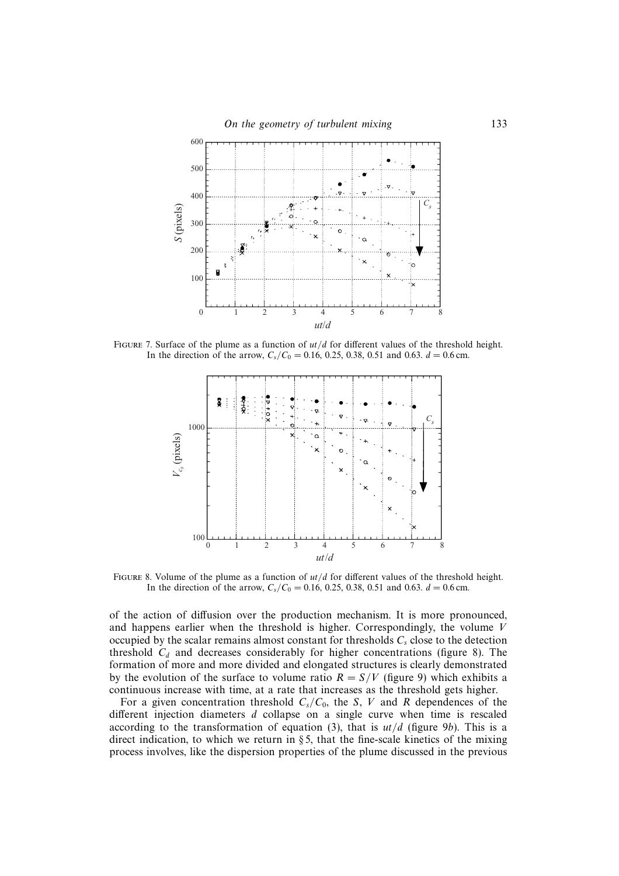

FIGURE 7. Surface of the plume as a function of  $ut/d$  for different values of the threshold height. In the direction of the arrow,  $C_s/C_0 = 0.16, 0.25, 0.38, 0.51$  and 0.63.  $d = 0.6$  cm.



FIGURE 8. Volume of the plume as a function of  $ut/d$  for different values of the threshold height. In the direction of the arrow,  $C_s/C_0 = 0.16, 0.25, 0.38, 0.51$  and 0.63.  $d = 0.6$  cm.

of the action of diffusion over the production mechanism. It is more pronounced, and happens earlier when the threshold is higher. Correspondingly, the volume V occupied by the scalar remains almost constant for thresholds  $C_s$  close to the detection threshold  $C_d$  and decreases considerably for higher concentrations (figure 8). The formation of more and more divided and elongated structures is clearly demonstrated by the evolution of the surface to volume ratio  $R = S/V$  (figure 9) which exhibits a continuous increase with time, at a rate that increases as the threshold gets higher.

For a given concentration threshold  $C_s/C_0$ , the S, V and R dependences of the different injection diameters d collapse on a single curve when time is rescaled according to the transformation of equation (3), that is  $ut/d$  (figure 9b). This is a direct indication, to which we return in  $\S 5$ , that the fine-scale kinetics of the mixing process involves, like the dispersion properties of the plume discussed in the previous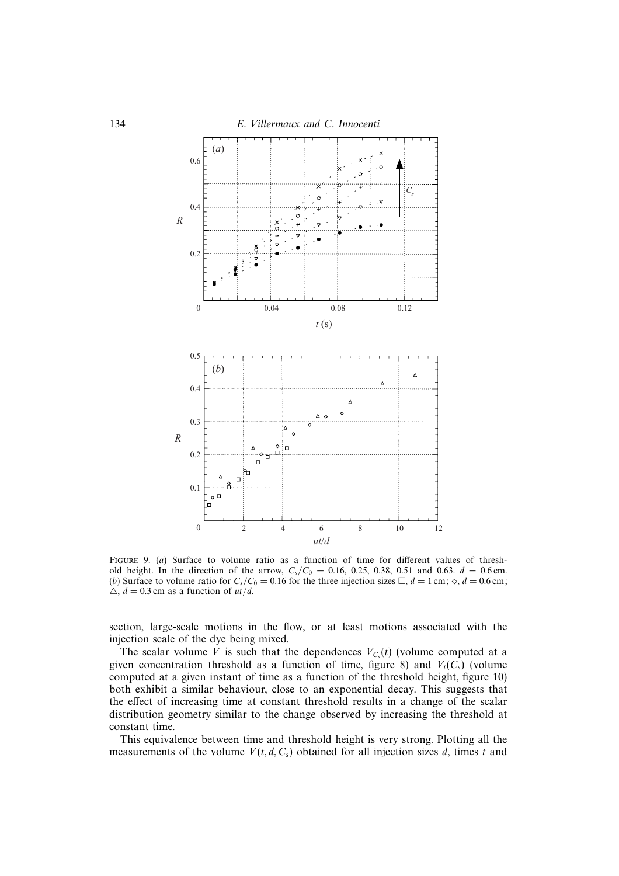

FIGURE 9. (a) Surface to volume ratio as a function of time for different values of threshold height. In the direction of the arrow,  $C_s/C_0 = 0.16, 0.25, 0.38, 0.51$  and 0.63.  $d = 0.6$  cm. (b) Surface to volume ratio for  $C_s/C_0 = 0.16$  for the three injection sizes  $\Box$ ,  $d = 1$  cm;  $\diamond$ ,  $d = 0.6$  cm;  $\triangle$ ,  $d = 0.3$  cm as a function of  $ut/d$ .

section, large-scale motions in the flow, or at least motions associated with the injection scale of the dye being mixed.

The scalar volume V is such that the dependences  $V_{C<sub>s</sub>}(t)$  (volume computed at a given concentration threshold as a function of time, figure 8) and  $V_t(C_s)$  (volume computed at a given instant of time as a function of the threshold height, figure 10) both exhibit a similar behaviour, close to an exponential decay. This suggests that the effect of increasing time at constant threshold results in a change of the scalar distribution geometry similar to the change observed by increasing the threshold at constant time.

This equivalence between time and threshold height is very strong. Plotting all the measurements of the volume  $V(t, d, C_s)$  obtained for all injection sizes d, times t and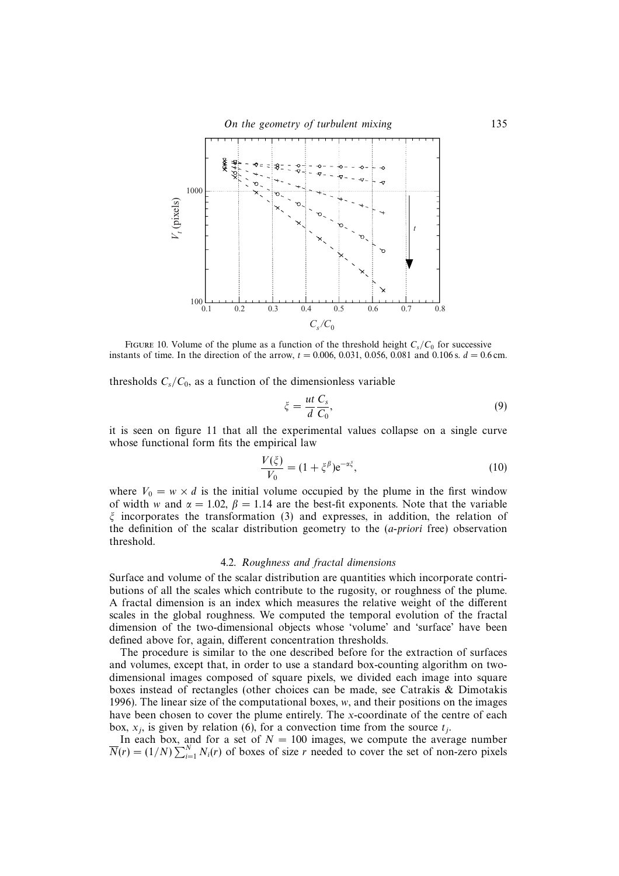

FIGURE 10. Volume of the plume as a function of the threshold height  $C_s/C_0$  for successive instants of time. In the direction of the arrow,  $t = 0.006, 0.031, 0.056, 0.081$  and 0.106 s.  $d = 0.6$  cm.

thresholds  $C_s/C_0$ , as a function of the dimensionless variable

$$
\xi = \frac{ut}{d} \frac{C_s}{C_0},\tag{9}
$$

it is seen on figure 11 that all the experimental values collapse on a single curve whose functional form fits the empirical law

$$
\frac{V(\xi)}{V_0} = (1 + \xi^{\beta})e^{-\alpha\xi},\tag{10}
$$

where  $V_0 = w \times d$  is the initial volume occupied by the plume in the first window of width w and  $\alpha = 1.02$ ,  $\beta = 1.14$  are the best-fit exponents. Note that the variable  $\xi$  incorporates the transformation (3) and expresses, in addition, the relation of the definition of the scalar distribution geometry to the (a-priori free) observation threshold.

## 4.2. Roughness and fractal dimensions

Surface and volume of the scalar distribution are quantities which incorporate contributions of all the scales which contribute to the rugosity, or roughness of the plume. A fractal dimension is an index which measures the relative weight of the different scales in the global roughness. We computed the temporal evolution of the fractal dimension of the two-dimensional objects whose 'volume' and 'surface' have been defined above for, again, different concentration thresholds.

The procedure is similar to the one described before for the extraction of surfaces and volumes, except that, in order to use a standard box-counting algorithm on twodimensional images composed of square pixels, we divided each image into square boxes instead of rectangles (other choices can be made, see Catrakis & Dimotakis 1996). The linear size of the computational boxes, w, and their positions on the images have been chosen to cover the plume entirely. The x-coordinate of the centre of each box,  $x_i$ , is given by relation (6), for a convection time from the source  $t_i$ .

In each box, and for a set of  $N = 100$  images, we compute the average number  $\overline{N}(r) = (1/N) \sum_{i=1}^{N} N_i(r)$  of boxes of size r needed to cover the set of non-zero pixels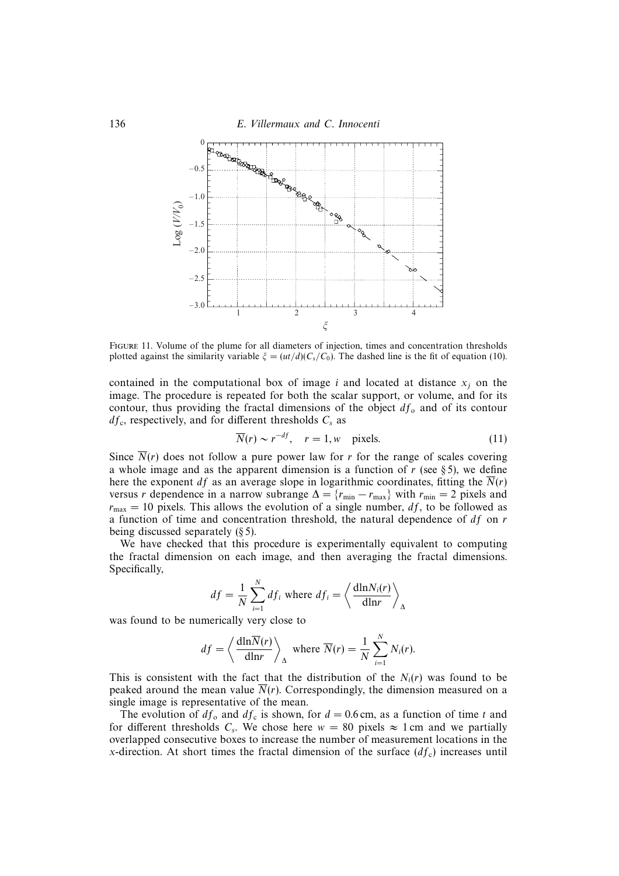

Figure 11. Volume of the plume for all diameters of injection, times and concentration thresholds plotted against the similarity variable  $\xi = (ut/d)(C_s/C_0)$ . The dashed line is the fit of equation (10).

contained in the computational box of image i and located at distance  $x_i$  on the image. The procedure is repeated for both the scalar support, or volume, and for its contour, thus providing the fractal dimensions of the object  $df_0$  and of its contour  $df_c$ , respectively, and for different thresholds  $C_s$  as

$$
\overline{N}(r) \sim r^{-df}, \quad r = 1, w \quad \text{pixels.} \tag{11}
$$

Since  $\overline{N}(r)$  does not follow a pure power law for r for the range of scales covering a whole image and as the apparent dimension is a function of  $r$  (see § 5), we define here the exponent df as an average slope in logarithmic coordinates, fitting the  $\overline{N}(r)$ versus r dependence in a narrow subrange  $\Delta = \{r_{\min} - r_{\max}\}\$  with  $r_{\min} = 2$  pixels and  $r_{\text{max}} = 10$  pixels. This allows the evolution of a single number, df, to be followed as a function of time and concentration threshold, the natural dependence of  $df$  on  $r$ being discussed separately (§ 5).

We have checked that this procedure is experimentally equivalent to computing the fractal dimension on each image, and then averaging the fractal dimensions. Specifically,

$$
df = \frac{1}{N} \sum_{i=1}^{N} df_i
$$
 where  $df_i = \left\langle \frac{dlnN_i(r)}{dlnr} \right\rangle_{\Delta}$ 

was found to be numerically very close to

$$
df = \left\langle \frac{\mathrm{dln}\overline{N}(r)}{\mathrm{dln}r} \right\rangle_{\Delta} \text{ where } \overline{N}(r) = \frac{1}{N} \sum_{i=1}^{N} N_i(r).
$$

This is consistent with the fact that the distribution of the  $N_i(r)$  was found to be peaked around the mean value  $\overline{N}(r)$ . Correspondingly, the dimension measured on a single image is representative of the mean.

The evolution of  $df_0$  and  $df_c$  is shown, for  $d = 0.6$  cm, as a function of time t and for different thresholds C<sub>s</sub>. We chose here  $w = 80$  pixels  $\approx 1$  cm and we partially overlapped consecutive boxes to increase the number of measurement locations in the x-direction. At short times the fractal dimension of the surface  $(df<sub>c</sub>)$  increases until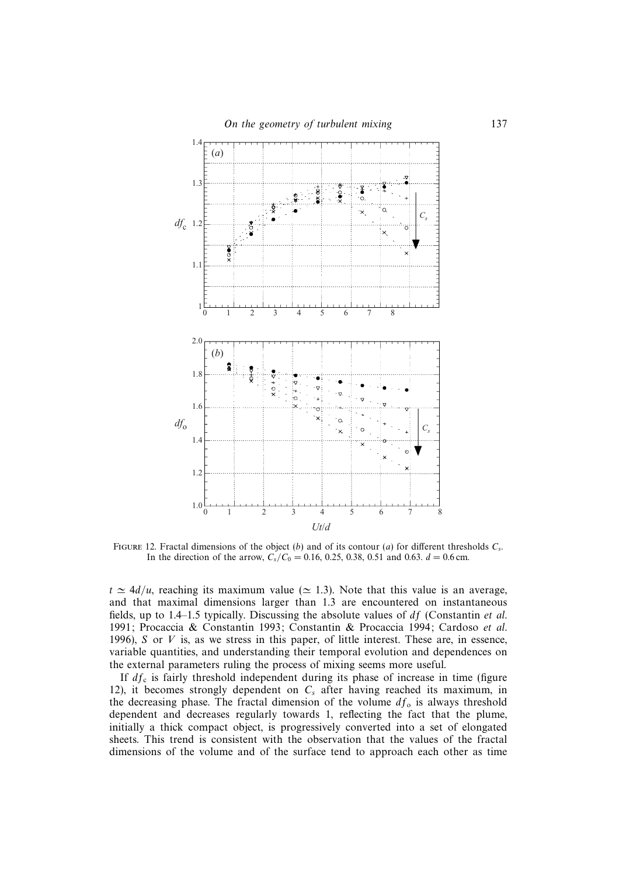

FIGURE 12. Fractal dimensions of the object (b) and of its contour (a) for different thresholds  $C_s$ . In the direction of the arrow,  $C_s/C_0 = 0.16, 0.25, 0.38, 0.51$  and 0.63.  $d = 0.6$  cm.

 $t \approx 4d/u$ , reaching its maximum value ( $\simeq 1.3$ ). Note that this value is an average, and that maximal dimensions larger than 1.3 are encountered on instantaneous fields, up to 1.4–1.5 typically. Discussing the absolute values of  $df$  (Constantin et al. 1991; Procaccia & Constantin 1993; Constantin & Procaccia 1994; Cardoso et al. 1996), S or V is, as we stress in this paper, of little interest. These are, in essence, variable quantities, and understanding their temporal evolution and dependences on the external parameters ruling the process of mixing seems more useful.

If  $df_c$  is fairly threshold independent during its phase of increase in time (figure 12), it becomes strongly dependent on  $C_s$  after having reached its maximum, in the decreasing phase. The fractal dimension of the volume  $df_0$  is always threshold dependent and decreases regularly towards 1, reflecting the fact that the plume, initially a thick compact object, is progressively converted into a set of elongated sheets. This trend is consistent with the observation that the values of the fractal dimensions of the volume and of the surface tend to approach each other as time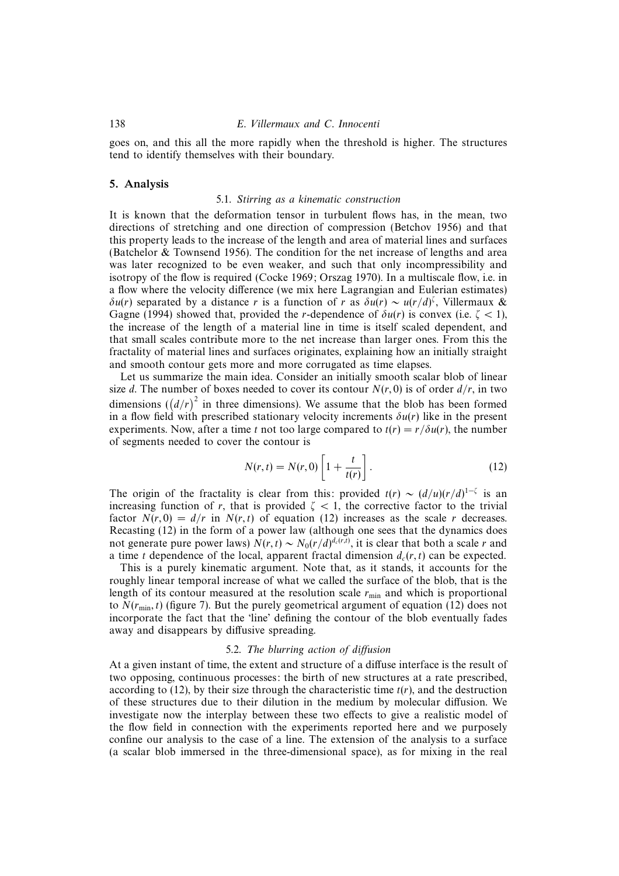goes on, and this all the more rapidly when the threshold is higher. The structures tend to identify themselves with their boundary.

## 5. Analysis

## 5.1. Stirring as a kinematic construction

It is known that the deformation tensor in turbulent flows has, in the mean, two directions of stretching and one direction of compression (Betchov 1956) and that this property leads to the increase of the length and area of material lines and surfaces (Batchelor & Townsend 1956). The condition for the net increase of lengths and area was later recognized to be even weaker, and such that only incompressibility and isotropy of the flow is required (Cocke 1969; Orszag 1970). In a multiscale flow, i.e. in a flow where the velocity difference (we mix here Lagrangian and Eulerian estimates) δu(r) separated by a distance r is a function of r as  $\delta u(r) \sim u(r/d)^{\zeta}$ , Villermaux & Gagne (1994) showed that, provided the r-dependence of  $\delta u(r)$  is convex (i.e.  $\zeta$  < 1), the increase of the length of a material line in time is itself scaled dependent, and that small scales contribute more to the net increase than larger ones. From this the fractality of material lines and surfaces originates, explaining how an initially straight and smooth contour gets more and more corrugated as time elapses.

Let us summarize the main idea. Consider an initially smooth scalar blob of linear size d. The number of boxes needed to cover its contour  $N(r, 0)$  is of order  $d/r$ , in two dimensions  $((d/r)^2$  in three dimensions). We assume that the blob has been formed in a flow field with prescribed stationary velocity increments  $\delta u(r)$  like in the present experiments. Now, after a time t not too large compared to  $t(r) = r/\delta u(r)$ , the number of segments needed to cover the contour is

$$
N(r,t) = N(r,0) \left[ 1 + \frac{t}{t(r)} \right].
$$
 (12)

The origin of the fractality is clear from this: provided  $t(r) \sim (d/u)(r/d)^{1-\zeta}$  is an increasing function of r, that is provided  $\zeta$  < 1, the corrective factor to the trivial factor  $N(r, 0) = d/r$  in  $N(r, t)$  of equation (12) increases as the scale r decreases. Recasting (12) in the form of a power law (although one sees that the dynamics does not generate pure power laws)  $N(r, t) \sim N_0(r/d)^{d_c(r, t)}$ , it is clear that both a scale r and a time t dependence of the local, apparent fractal dimension  $d_c(r, t)$  can be expected.

This is a purely kinematic argument. Note that, as it stands, it accounts for the roughly linear temporal increase of what we called the surface of the blob, that is the length of its contour measured at the resolution scale  $r_{\text{min}}$  and which is proportional to  $N(r_{\text{min}}, t)$  (figure 7). But the purely geometrical argument of equation (12) does not incorporate the fact that the 'line' defining the contour of the blob eventually fades away and disappears by diffusive spreading.

## 5.2. The blurring action of diffusion

At a given instant of time, the extent and structure of a diffuse interface is the result of two opposing, continuous processes: the birth of new structures at a rate prescribed, according to (12), by their size through the characteristic time  $t(r)$ , and the destruction of these structures due to their dilution in the medium by molecular diffusion. We investigate now the interplay between these two effects to give a realistic model of the flow field in connection with the experiments reported here and we purposely confine our analysis to the case of a line. The extension of the analysis to a surface (a scalar blob immersed in the three-dimensional space), as for mixing in the real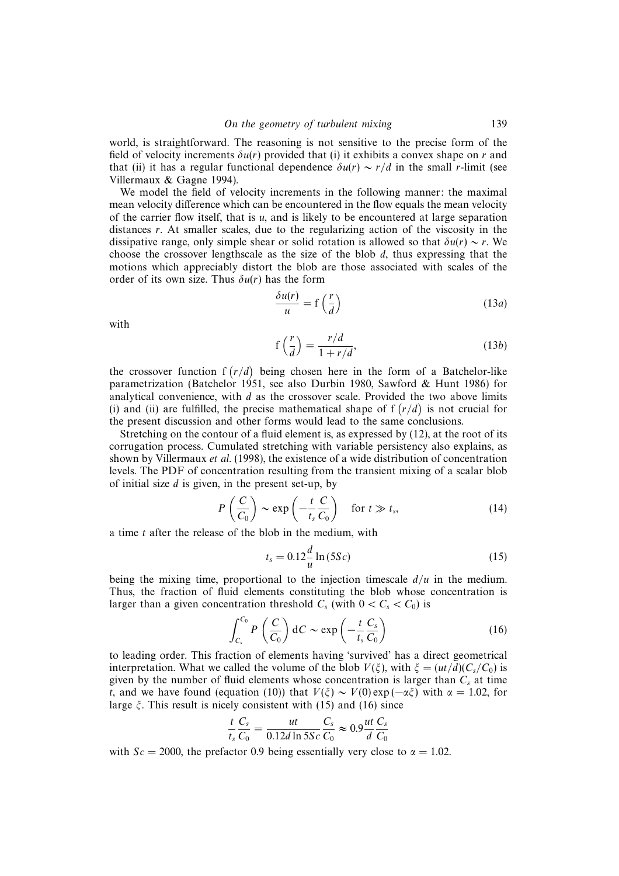world, is straightforward. The reasoning is not sensitive to the precise form of the field of velocity increments  $\delta u(r)$  provided that (i) it exhibits a convex shape on r and that (ii) it has a regular functional dependence  $\delta u(r) \sim r/d$  in the small r-limit (see Villermaux & Gagne 1994).

We model the field of velocity increments in the following manner: the maximal mean velocity difference which can be encountered in the flow equals the mean velocity of the carrier flow itself, that is  $u$ , and is likely to be encountered at large separation distances  $r$ . At smaller scales, due to the regularizing action of the viscosity in the dissipative range, only simple shear or solid rotation is allowed so that  $\delta u(r) \sim r$ . We choose the crossover lengthscale as the size of the blob  $d$ , thus expressing that the motions which appreciably distort the blob are those associated with scales of the order of its own size. Thus  $\delta u(r)$  has the form

$$
\frac{\delta u(r)}{u} = f\left(\frac{r}{d}\right) \tag{13a}
$$

with

$$
f\left(\frac{r}{d}\right) = \frac{r/d}{1 + r/d},\tag{13b}
$$

the crossover function  $f(r/d)$  being chosen here in the form of a Batchelor-like parametrization (Batchelor 1951, see also Durbin 1980, Sawford & Hunt 1986) for analytical convenience, with  $d$  as the crossover scale. Provided the two above limits (i) and (ii) are fulfilled, the precise mathematical shape of  $f(r/d)$  is not crucial for the present discussion and other forms would lead to the same conclusions.

Stretching on the contour of a fluid element is, as expressed by (12), at the root of its corrugation process. Cumulated stretching with variable persistency also explains, as shown by Villermaux et al. (1998), the existence of a wide distribution of concentration levels. The PDF of concentration resulting from the transient mixing of a scalar blob of initial size  $d$  is given, in the present set-up, by

$$
P\left(\frac{C}{C_0}\right) \sim \exp\left(-\frac{t}{t_s}\frac{C}{C_0}\right) \quad \text{for } t \gg t_s,
$$
 (14)

a time t after the release of the blob in the medium, with

$$
t_s = 0.12 \frac{d}{u} \ln(5Sc)
$$
 (15)

being the mixing time, proportional to the injection timescale  $d/u$  in the medium. Thus, the fraction of fluid elements constituting the blob whose concentration is larger than a given concentration threshold  $C_s$  (with  $0 < C_s < C_0$ ) is

$$
\int_{C_s}^{C_0} P\left(\frac{C}{C_0}\right) dC \sim \exp\left(-\frac{t}{t_s} \frac{C_s}{C_0}\right) \tag{16}
$$

to leading order. This fraction of elements having 'survived' has a direct geometrical interpretation. What we called the volume of the blob  $V(\xi)$ , with  $\xi = (ut/d)(C_s/C_0)$  is given by the number of fluid elements whose concentration is larger than  $C_s$  at time t, and we have found (equation (10)) that  $V(\xi) \sim V(0) \exp(-\alpha \xi)$  with  $\alpha = 1.02$ , for large  $\xi$ . This result is nicely consistent with (15) and (16) since

$$
\frac{t}{t_s}\frac{C_s}{C_0} = \frac{ut}{0.12d\ln 5Sc}\frac{C_s}{C_0} \approx 0.9\frac{ut}{d}\frac{C_s}{C_0}
$$

with  $Sc = 2000$ , the prefactor 0.9 being essentially very close to  $\alpha = 1.02$ .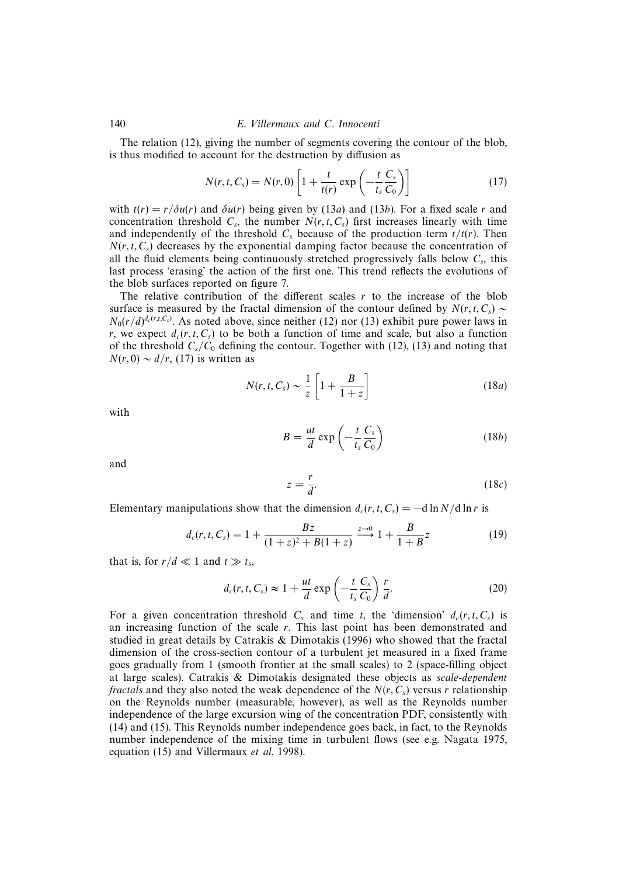140 E. Villermaux and C. Innocenti

The relation (12), giving the number of segments covering the contour of the blob, is thus modified to account for the destruction by diffusion as

$$
N(r, t, C_s) = N(r, 0) \left[ 1 + \frac{t}{t(r)} \exp\left(-\frac{t}{t_s} \frac{C_s}{C_0}\right) \right]
$$
 (17)

with  $t(r) = r/\delta u(r)$  and  $\delta u(r)$  being given by (13a) and (13b). For a fixed scale r and concentration threshold  $C_s$ , the number  $N(r, t, C_s)$  first increases linearly with time and independently of the threshold  $C_s$  because of the production term  $t/t(r)$ . Then  $N(r, t, C_s)$  decreases by the exponential damping factor because the concentration of all the fluid elements being continuously stretched progressively falls below  $C_s$ , this last process 'erasing' the action of the first one. This trend reflects the evolutions of the blob surfaces reported on figure 7.

The relative contribution of the different scales  $r$  to the increase of the blob surface is measured by the fractal dimension of the contour defined by  $N(r, t, C_s)$  ∼  $N_0(r/d)^{d_c(r,t,C_s)}$ . As noted above, since neither (12) nor (13) exhibit pure power laws in r, we expect  $d_c(r, t, C_s)$  to be both a function of time and scale, but also a function of the threshold  $C_s/C_0$  defining the contour. Together with (12), (13) and noting that  $N(r, 0) \sim d/r$ , (17) is written as

$$
N(r, t, C_s) \sim \frac{1}{z} \left[ 1 + \frac{B}{1+z} \right]
$$
 (18*a*)

with

$$
B = \frac{ut}{d} \exp\left(-\frac{t}{t_s} \frac{C_s}{C_0}\right) \tag{18b}
$$

and

$$
z = \frac{r}{d}.\tag{18c}
$$

Elementary manipulations show that the dimension  $d_c(r, t, C_s) = -d \ln N/d \ln r$  is

$$
d_c(r, t, C_s) = 1 + \frac{Bz}{(1+z)^2 + B(1+z)} \xrightarrow{z \to 0} 1 + \frac{B}{1+B}z \tag{19}
$$

that is, for  $r/d \ll 1$  and  $t \gg t_s$ ,

$$
d_c(r, t, C_s) \approx 1 + \frac{ut}{d} \exp\left(-\frac{t}{t_s} \frac{C_s}{C_0}\right) \frac{r}{d}.
$$
 (20)

For a given concentration threshold  $C_s$  and time t, the 'dimension'  $d_c(r, t, C_s)$  is an increasing function of the scale  $r$ . This last point has been demonstrated and studied in great details by Catrakis & Dimotakis (1996) who showed that the fractal dimension of the cross-section contour of a turbulent jet measured in a fixed frame goes gradually from 1 (smooth frontier at the small scales) to 2 (space-filling object at large scales). Catrakis & Dimotakis designated these objects as scale-dependent fractals and they also noted the weak dependence of the  $N(r, C_s)$  versus r relationship on the Reynolds number (measurable, however), as well as the Reynolds number independence of the large excursion wing of the concentration PDF, consistently with (14) and (15). This Reynolds number independence goes back, in fact, to the Reynolds number independence of the mixing time in turbulent flows (see e.g. Nagata 1975, equation (15) and Villermaux *et al.* 1998).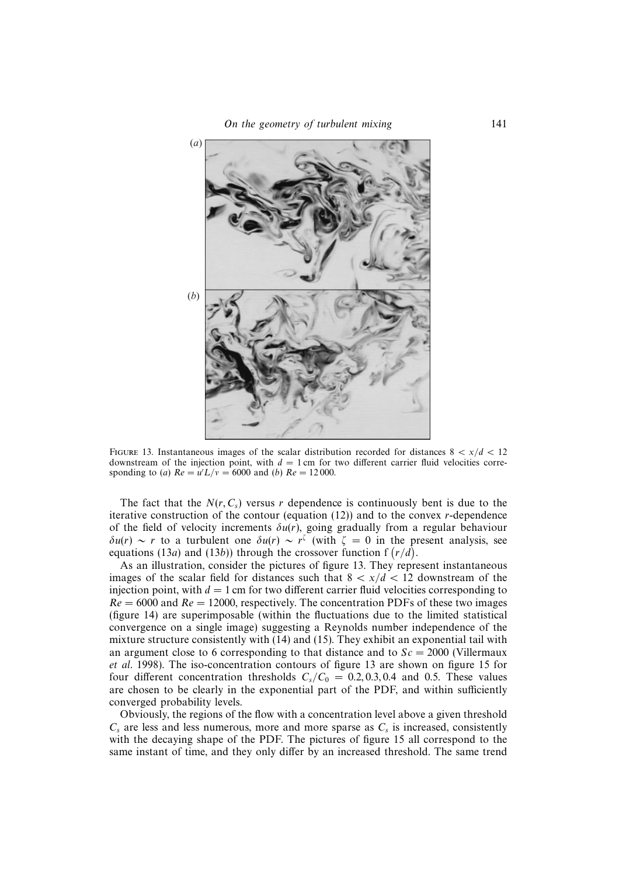

FIGURE 13. Instantaneous images of the scalar distribution recorded for distances  $8 < x/d < 12$ downstream of the injection point, with  $d = 1$  cm for two different carrier fluid velocities corresponding to (a)  $Re = u'L/v = 6000$  and (b)  $Re = 12000$ .

The fact that the  $N(r, C_s)$  versus r dependence is continuously bent is due to the iterative construction of the contour (equation  $(12)$ ) and to the convex r-dependence of the field of velocity increments  $\delta u(r)$ , going gradually from a regular behaviour  $\delta u(r) \sim r$  to a turbulent one  $\delta u(r) \sim r^{\zeta}$  (with  $\zeta = 0$  in the present analysis, see equations (13a) and (13b)) through the crossover function f  $(r/d)$ .

As an illustration, consider the pictures of figure 13. They represent instantaneous images of the scalar field for distances such that  $8 < x/d < 12$  downstream of the injection point, with  $d = 1$  cm for two different carrier fluid velocities corresponding to  $Re = 6000$  and  $Re = 12000$ , respectively. The concentration PDFs of these two images (figure 14) are superimposable (within the fluctuations due to the limited statistical convergence on a single image) suggesting a Reynolds number independence of the mixture structure consistently with (14) and (15). They exhibit an exponential tail with an argument close to 6 corresponding to that distance and to  $Sc = 2000$  (Villermaux et al. 1998). The iso-concentration contours of figure 13 are shown on figure 15 for four different concentration thresholds  $C_s/C_0 = 0.2, 0.3, 0.4$  and 0.5. These values are chosen to be clearly in the exponential part of the PDF, and within sufficiently converged probability levels.

Obviously, the regions of the flow with a concentration level above a given threshold  $C_s$  are less and less numerous, more and more sparse as  $C_s$  is increased, consistently with the decaying shape of the PDF. The pictures of figure 15 all correspond to the same instant of time, and they only differ by an increased threshold. The same trend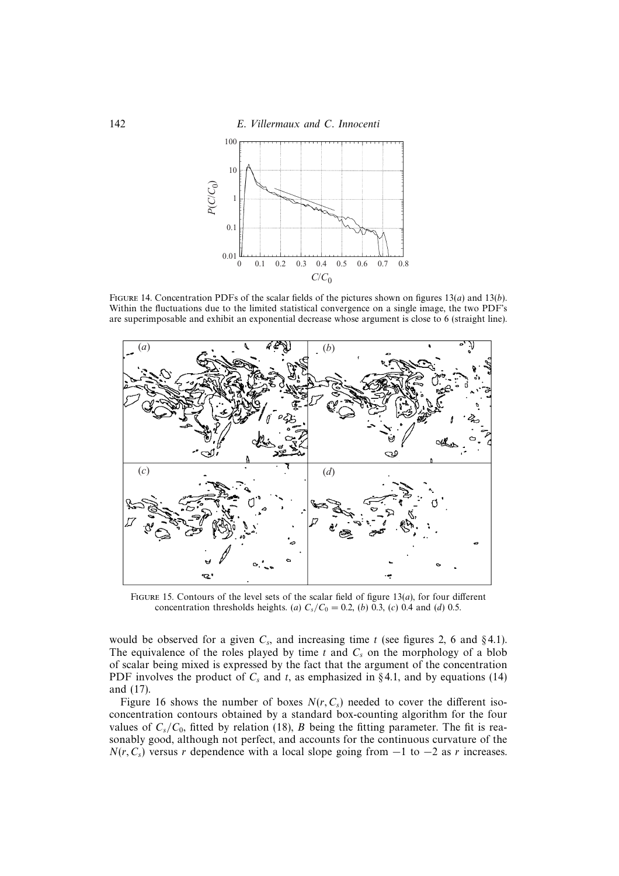142 E. Villermaux and C. Innocenti



FIGURE 14. Concentration PDFs of the scalar fields of the pictures shown on figures 13(*a*) and 13(*b*). Within the fluctuations due to the limited statistical convergence on a single image, the two PDF's are superimposable and exhibit an exponential decrease whose argument is close to 6 (straight line).



FIGURE 15. Contours of the level sets of the scalar field of figure  $13(a)$ , for four different concentration thresholds heights. (a)  $C_s/C_0 = 0.2$ , (b) 0.3, (c) 0.4 and (d) 0.5.

would be observed for a given  $C_s$ , and increasing time t (see figures 2, 6 and §4.1). The equivalence of the roles played by time  $t$  and  $C_s$  on the morphology of a blob of scalar being mixed is expressed by the fact that the argument of the concentration PDF involves the product of  $C_s$  and t, as emphasized in §4.1, and by equations (14) and (17).

Figure 16 shows the number of boxes  $N(r, C_s)$  needed to cover the different isoconcentration contours obtained by a standard box-counting algorithm for the four values of  $C_s/C_0$ , fitted by relation (18), B being the fitting parameter. The fit is reasonably good, although not perfect, and accounts for the continuous curvature of the  $N(r, C_s)$  versus r dependence with a local slope going from  $-1$  to  $-2$  as r increases.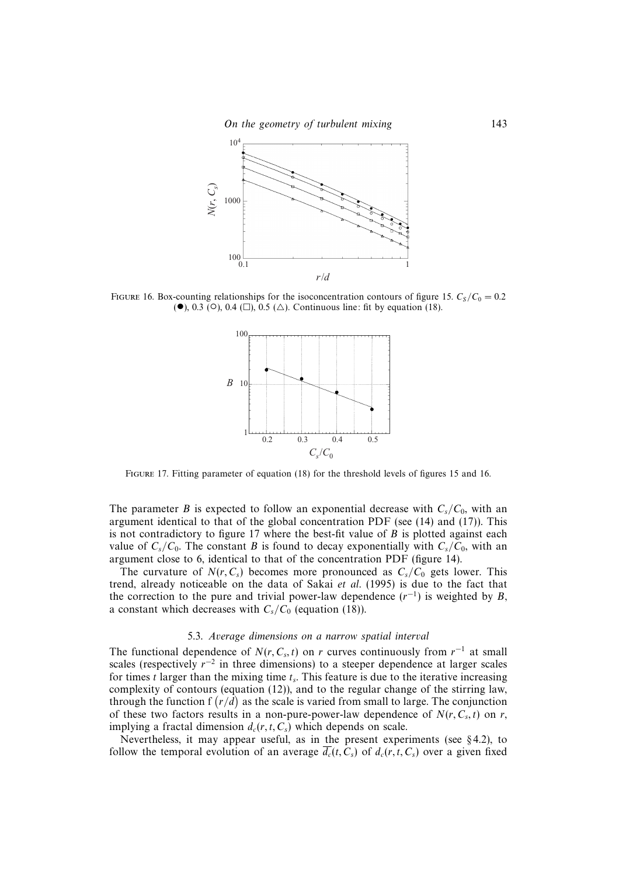

FIGURE 16. Box-counting relationships for the isoconcentration contours of figure 15.  $C_s/C_0 = 0.2$ (●), 0.3 (○), 0.4 (□), 0.5 (△). Continuous line: fit by equation (18).



Figure 17. Fitting parameter of equation (18) for the threshold levels of figures 15 and 16.

The parameter B is expected to follow an exponential decrease with  $C_s/C_0$ , with an argument identical to that of the global concentration PDF (see (14) and (17)). This is not contradictory to figure 17 where the best-fit value of  $B$  is plotted against each value of  $C_s/C_0$ . The constant B is found to decay exponentially with  $C_s/C_0$ , with an argument close to 6, identical to that of the concentration PDF (figure 14).

The curvature of  $N(r, C_s)$  becomes more pronounced as  $C_s/C_0$  gets lower. This trend, already noticeable on the data of Sakai et al.  $(1995)$  is due to the fact that the correction to the pure and trivial power-law dependence  $(r^{-1})$  is weighted by B, a constant which decreases with  $C_s/C_0$  (equation (18)).

#### 5.3. Average dimensions on a narrow spatial interval

The functional dependence of  $N(r, C_s, t)$  on r curves continuously from  $r^{-1}$  at small scales (respectively  $r^{-2}$  in three dimensions) to a steeper dependence at larger scales for times t larger than the mixing time  $t_s$ . This feature is due to the iterative increasing complexity of contours (equation (12)), and to the regular change of the stirring law, through the function  $f(r/d)$  as the scale is varied from small to large. The conjunction of these two factors results in a non-pure-power-law dependence of  $N(r, C<sub>s</sub>, t)$  on r, implying a fractal dimension  $d_c(r, t, C_s)$  which depends on scale.

Nevertheless, it may appear useful, as in the present experiments (see § 4.2), to follow the temporal evolution of an average  $\overline{d_c}(t, C_s)$  of  $d_c(r, t, C_s)$  over a given fixed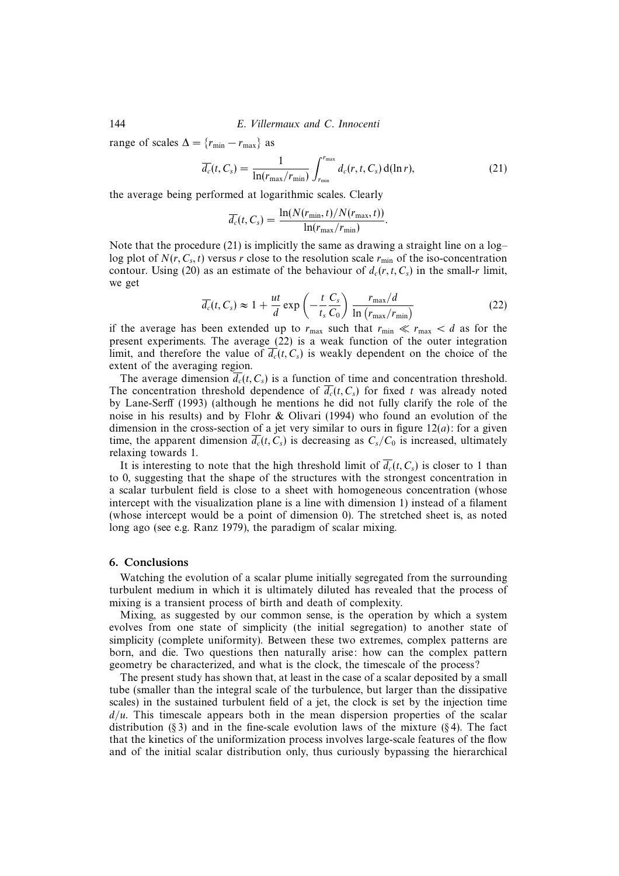144 E. Villermaux and C. Innocenti

range of scales  $\Delta = \{r_{\min} - r_{\max}\}\$ as

$$
\overline{d_c}(t, C_s) = \frac{1}{\ln(r_{\max}/r_{\min})} \int_{r_{\min}}^{r_{\max}} d_c(r, t, C_s) d(\ln r), \qquad (21)
$$

the average being performed at logarithmic scales. Clearly

$$
\overline{d_c}(t, C_s) = \frac{\ln(N(r_{\min}, t)/N(r_{\max}, t))}{\ln(r_{\max}/r_{\min})}.
$$

Note that the procedure (21) is implicitly the same as drawing a straight line on a  $log$ log plot of  $N(r, C_s, t)$  versus r close to the resolution scale  $r_{\text{min}}$  of the iso-concentration contour. Using (20) as an estimate of the behaviour of  $d_c(r, t, C_s)$  in the small-r limit, we get

$$
\overline{d_c}(t, C_s) \approx 1 + \frac{ut}{d} \exp\left(-\frac{t}{t_s} \frac{C_s}{C_0}\right) \frac{r_{\text{max}}/d}{\ln\left(r_{\text{max}}/r_{\text{min}}\right)}
$$
(22)

if the average has been extended up to  $r_{\text{max}}$  such that  $r_{\text{min}} \ll r_{\text{max}} < d$  as for the present experiments. The average (22) is a weak function of the outer integration limit, and therefore the value of  $\overline{d_c}(t, C_s)$  is weakly dependent on the choice of the extent of the averaging region.

The average dimension  $\overline{d_c}(t, C_s)$  is a function of time and concentration threshold. The concentration threshold dependence of  $\overline{d_c}(t, C_s)$  for fixed t was already noted by Lane-Serff (1993) (although he mentions he did not fully clarify the role of the noise in his results) and by Flohr & Olivari (1994) who found an evolution of the dimension in the cross-section of a jet very similar to ours in figure  $12(a)$ : for a given time, the apparent dimension  $\overline{d_c}(t, C_s)$  is decreasing as  $C_s/C_0$  is increased, ultimately relaxing towards 1.

It is interesting to note that the high threshold limit of  $\overline{d_c}(t, C_s)$  is closer to 1 than to 0, suggesting that the shape of the structures with the strongest concentration in a scalar turbulent field is close to a sheet with homogeneous concentration (whose intercept with the visualization plane is a line with dimension 1) instead of a filament (whose intercept would be a point of dimension 0). The stretched sheet is, as noted long ago (see e.g. Ranz 1979), the paradigm of scalar mixing.

## 6. Conclusions

Watching the evolution of a scalar plume initially segregated from the surrounding turbulent medium in which it is ultimately diluted has revealed that the process of mixing is a transient process of birth and death of complexity.

Mixing, as suggested by our common sense, is the operation by which a system evolves from one state of simplicity (the initial segregation) to another state of simplicity (complete uniformity). Between these two extremes, complex patterns are born, and die. Two questions then naturally arise: how can the complex pattern geometry be characterized, and what is the clock, the timescale of the process?

The present study has shown that, at least in the case of a scalar deposited by a small tube (smaller than the integral scale of the turbulence, but larger than the dissipative scales) in the sustained turbulent field of a jet, the clock is set by the injection time  $d/u$ . This timescale appears both in the mean dispersion properties of the scalar distribution (§ 3) and in the fine-scale evolution laws of the mixture (§ 4). The fact that the kinetics of the uniformization process involves large-scale features of the flow and of the initial scalar distribution only, thus curiously bypassing the hierarchical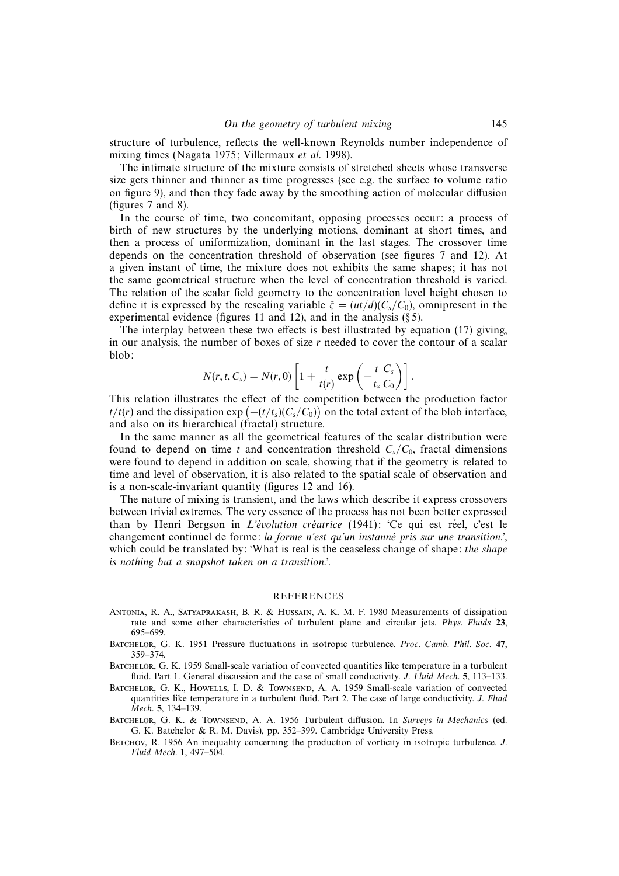structure of turbulence, reflects the well-known Reynolds number independence of mixing times (Nagata 1975; Villermaux et al. 1998).

The intimate structure of the mixture consists of stretched sheets whose transverse size gets thinner and thinner as time progresses (see e.g. the surface to volume ratio on figure 9), and then they fade away by the smoothing action of molecular diffusion (figures 7 and 8).

In the course of time, two concomitant, opposing processes occur: a process of birth of new structures by the underlying motions, dominant at short times, and then a process of uniformization, dominant in the last stages. The crossover time depends on the concentration threshold of observation (see figures 7 and 12). At a given instant of time, the mixture does not exhibits the same shapes; it has not the same geometrical structure when the level of concentration threshold is varied. The relation of the scalar field geometry to the concentration level height chosen to define it is expressed by the rescaling variable  $\xi = (ut/d)(C_s/C_0)$ , omnipresent in the experimental evidence (figures 11 and 12), and in the analysis  $(\S 5)$ .

The interplay between these two effects is best illustrated by equation (17) giving, in our analysis, the number of boxes of size  $r$  needed to cover the contour of a scalar blob:

$$
N(r, t, C_s) = N(r, 0) \left[ 1 + \frac{t}{t(r)} \exp \left( -\frac{t}{t_s} \frac{C_s}{C_0} \right) \right].
$$

This relation illustrates the effect of the competition between the production factor  $t/t(r)$  and the dissipation  $\exp(-(t/t_s)(C_s/C_0))$  on the total extent of the blob interface, and also on its hierarchical (fractal) structure.

In the same manner as all the geometrical features of the scalar distribution were found to depend on time t and concentration threshold  $C_s/C_0$ , fractal dimensions were found to depend in addition on scale, showing that if the geometry is related to time and level of observation, it is also related to the spatial scale of observation and is a non-scale-invariant quantity (figures 12 and 16).

The nature of mixing is transient, and the laws which describe it express crossovers between trivial extremes. The very essence of the process has not been better expressed than by Henri Bergson in *L'évolution créatrice* (1941): 'Ce qui est réel, c'est le changement continuel de forme: la forme n'est qu'un instanné pris sur une transition.', which could be translated by: 'What is real is the ceaseless change of shape: the shape is nothing but a snapshot taken on a transition.'.

## REFERENCES

- Antonia, R. A., Satyaprakash, B. R. & Hussain, A. K. M. F. 1980 Measurements of dissipation rate and some other characteristics of turbulent plane and circular jets. Phys. Fluids **23**, 695–699.
- Batchelor, G. K. 1951 Pressure fluctuations in isotropic turbulence. Proc. Camb. Phil. Soc. **47**, 359–374.
- Batchelor, G. K. 1959 Small-scale variation of convected quantities like temperature in a turbulent fluid. Part 1. General discussion and the case of small conductivity. J. Fluid Mech. **5**, 113–133.
- BATCHELOR, G. K., HOWELLS, I. D. & TOWNSEND, A. A. 1959 Small-scale variation of convected quantities like temperature in a turbulent fluid. Part 2. The case of large conductivity. J. Fluid Mech. **5**, 134–139.
- BATCHELOR, G. K. & TOWNSEND, A. A. 1956 Turbulent diffusion. In Surveys in Mechanics (ed. G. K. Batchelor & R. M. Davis), pp. 352–399. Cambridge University Press.
- BETCHOV, R. 1956 An inequality concerning the production of vorticity in isotropic turbulence. *J.* Fluid Mech. **1**, 497–504.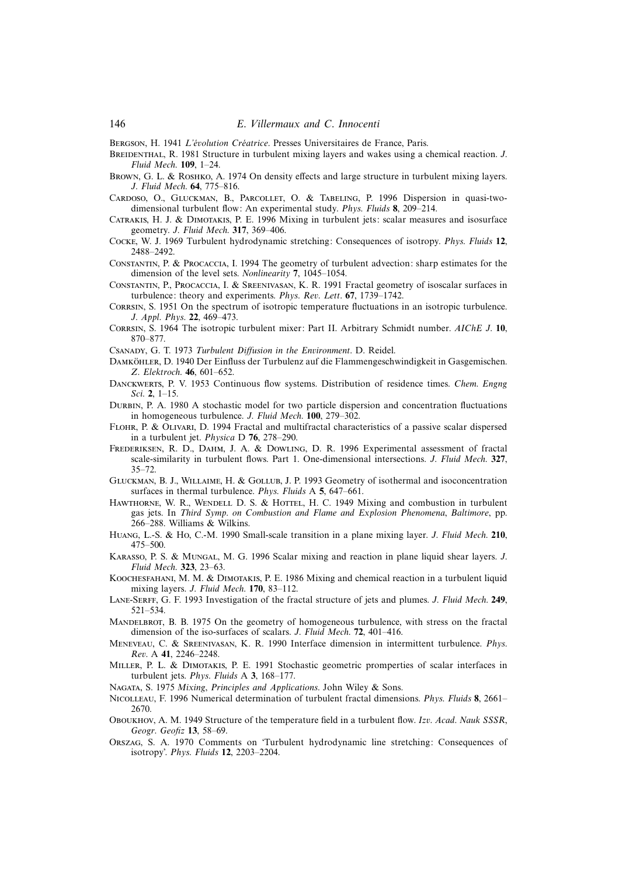BERGSON, H. 1941 L'évolution Créatrice. Presses Universitaires de France, Paris.

- BREIDENTHAL, R. 1981 Structure in turbulent mixing layers and wakes using a chemical reaction. J. Fluid Mech. **109**, 1–24.
- BROWN, G. L. & ROSHKO, A. 1974 On density effects and large structure in turbulent mixing layers. J. Fluid Mech. **64**, 775–816.
- Cardoso, O., Gluckman, B., Parcollet, O. & Tabeling, P. 1996 Dispersion in quasi-twodimensional turbulent flow: An experimental study. Phys. Fluids **8**, 209–214.
- Catrakis, H. J. & Dimotakis, P. E. 1996 Mixing in turbulent jets: scalar measures and isosurface geometry. J. Fluid Mech. **317**, 369–406.
- Cocke, W. J. 1969 Turbulent hydrodynamic stretching: Consequences of isotropy. Phys. Fluids **12**, 2488–2492.
- Constantin, P. & Procaccia, I. 1994 The geometry of turbulent advection: sharp estimates for the dimension of the level sets. Nonlinearity **7**, 1045–1054.
- Constantin, P., Procaccia, I. & Sreenivasan, K. R. 1991 Fractal geometry of isoscalar surfaces in turbulence: theory and experiments. Phys. Rev. Lett. **67**, 1739–1742.
- Corrsin, S. 1951 On the spectrum of isotropic temperature fluctuations in an isotropic turbulence. J. Appl. Phys. **22**, 469–473.
- Corrsin, S. 1964 The isotropic turbulent mixer: Part II. Arbitrary Schmidt number. AIChE J. **10**, 870–877.
- Csanady, G. T. 1973 Turbulent Diffusion in the Environment. D. Reidel.
- DAMKÖHLER, D. 1940 Der Einfluss der Turbulenz auf die Flammengeschwindigkeit in Gasgemischen. Z. Elektroch. **46**, 601–652.
- DANCKWERTS, P. V. 1953 Continuous flow systems. Distribution of residence times. Chem. Engng Sci. **2**, 1–15.
- Durbin, P. A. 1980 A stochastic model for two particle dispersion and concentration fluctuations in homogeneous turbulence. J. Fluid Mech. **100**, 279–302.
- Flohr, P. & Olivari, D. 1994 Fractal and multifractal characteristics of a passive scalar dispersed in a turbulent jet. Physica D **76**, 278–290.
- Frederiksen, R. D., Dahm, J. A. & Dowling, D. R. 1996 Experimental assessment of fractal scale-similarity in turbulent flows. Part 1. One-dimensional intersections. J. Fluid Mech. **327**, 35–72.
- Gluckman, B. J., Willaime, H. & Gollub, J. P. 1993 Geometry of isothermal and isoconcentration surfaces in thermal turbulence. Phys. Fluids A **5**, 647–661.
- HAWTHORNE, W. R., WENDELL D. S. & HOTTEL, H. C. 1949 Mixing and combustion in turbulent gas jets. In Third Symp. on Combustion and Flame and Explosion Phenomena, Baltimore, pp. 266–288. Williams & Wilkins.
- Huang, L.-S. & Ho, C.-M. 1990 Small-scale transition in a plane mixing layer. J. Fluid Mech. **210**, 475–500.
- Karasso, P. S. & Mungal, M. G. 1996 Scalar mixing and reaction in plane liquid shear layers. J. Fluid Mech. **323**, 23–63.
- Koochesfahani, M. M. & Dimotakis, P. E. 1986 Mixing and chemical reaction in a turbulent liquid mixing layers. J. Fluid Mech. **170**, 83–112.
- Lane-Serff, G. F. 1993 Investigation of the fractal structure of jets and plumes. J. Fluid Mech. **249**, 521–534.
- MANDELBROT, B. B. 1975 On the geometry of homogeneous turbulence, with stress on the fractal dimension of the iso-surfaces of scalars. J. Fluid Mech. **72**, 401–416.
- Meneveau, C. & Sreenivasan, K. R. 1990 Interface dimension in intermittent turbulence. Phys. Rev. A **41**, 2246–2248.
- Miller, P. L. & Dimotakis, P. E. 1991 Stochastic geometric promperties of scalar interfaces in turbulent jets. Phys. Fluids A **3**, 168–177.
- Nagata, S. 1975 Mixing, Principles and Applications. John Wiley & Sons.
- Nicolleau, F. 1996 Numerical determination of turbulent fractal dimensions. Phys. Fluids **8**, 2661– 2670.
- Oboukhov, A. M. 1949 Structure of the temperature field in a turbulent flow. Izv. Acad. Nauk SSSR, Geogr. Geofiz **13**, 58–69.
- Orszag, S. A. 1970 Comments on 'Turbulent hydrodynamic line stretching: Consequences of isotropy'. Phys. Fluids **12**, 2203–2204.